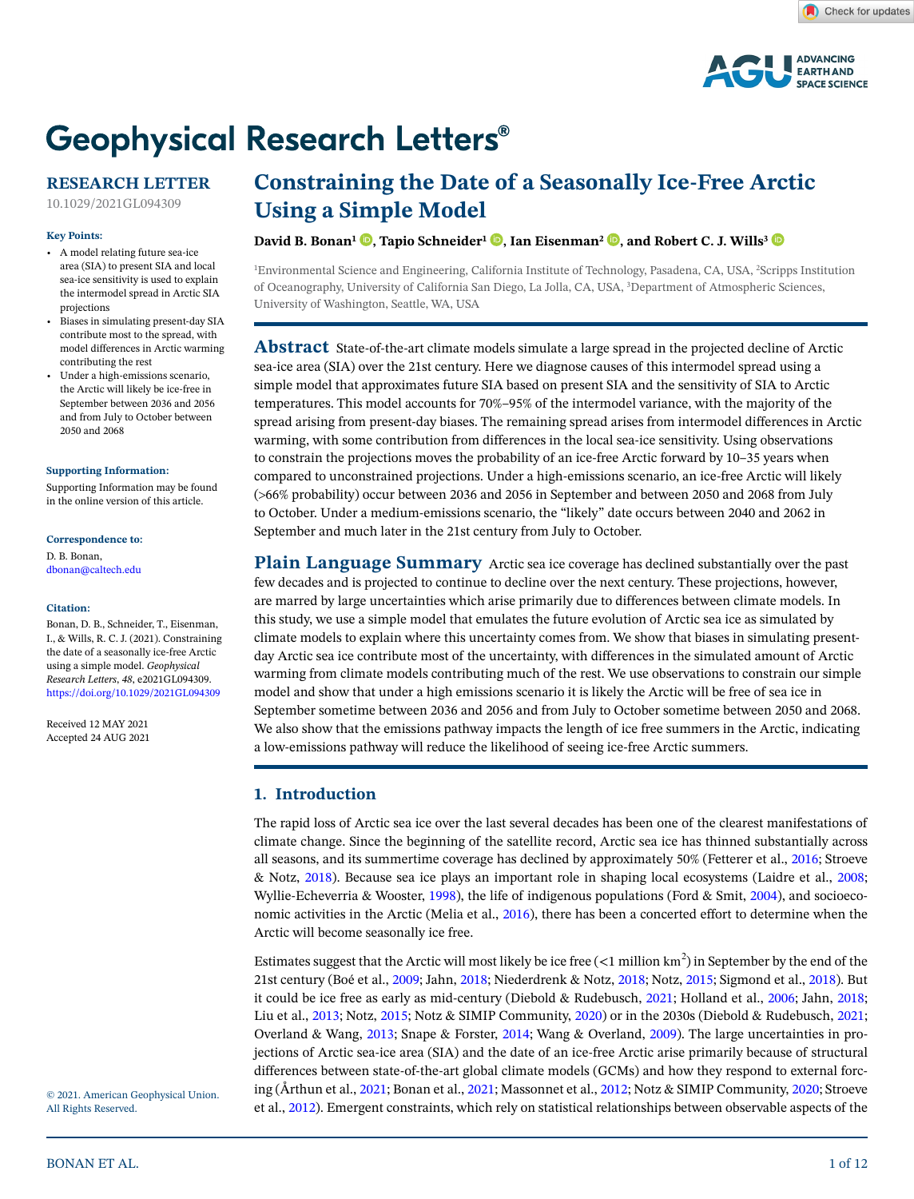

# **Geophysical Research Letters®**

# **RESEARCH LETTER**

10.1029/2021GL094309

# **Key Points:**

- A model relating future sea-ice area (SIA) to present SIA and local sea-ice sensitivity is used to explain the intermodel spread in Arctic SIA projections
- Biases in simulating present-day SIA contribute most to the spread, with model differences in Arctic warming contributing the rest
- Under a high-emissions scenario, the Arctic will likely be ice-free in September between 2036 and 2056 and from July to October between 2050 and 2068

#### **[Supporting Information:](https://doi.org/10.1029/2021GL094309)**

[Supporting Information may be found](https://doi.org/10.1029/2021GL094309)  [in the online version of this article.](https://doi.org/10.1029/2021GL094309)

#### **Correspondence to:**

D. B. Bonan, dbonan@caltech.edu

#### **Citation:**

Bonan, D. B., Schneider, T., Eisenman, I., & Wills, R. C. J. (2021). Constraining the date of a seasonally ice-free Arctic using a simple model. *Geophysical Research Letters*, *48*, e2021GL094309. <https://doi.org/10.1029/2021GL094309>

Received 12 MAY 2021 Accepted 24 AUG 2021

# **Constraining the Date of a Seasonally Ice-Free Arctic Using a Simple Model**

# **David B. Bonan<sup>1</sup> <b>.**[,](https://orcid.org/0000-0003-0190-2869) Tapio Schneider<sup>1</sup> **.**, Ian Eisenman<sup>2</sup> **.**, and Robert C. J. Wills<sup>[3](https://orcid.org/0000-0002-7776-2076)</sup> **.**

1 Environmental Science and Engineering, California Institute of Technology, Pasadena, CA, USA, 2 Scripps Institution of Oceanography, University of California San Diego, La Jolla, CA, USA, 3 Department of Atmospheric Sciences, University of Washington, Seattle, WA, USA

**Abstract** State-of-the-art climate models simulate a large spread in the projected decline of Arctic sea-ice area (SIA) over the 21st century. Here we diagnose causes of this intermodel spread using a simple model that approximates future SIA based on present SIA and the sensitivity of SIA to Arctic temperatures. This model accounts for 70%–95% of the intermodel variance, with the majority of the spread arising from present-day biases. The remaining spread arises from intermodel differences in Arctic warming, with some contribution from differences in the local sea-ice sensitivity. Using observations to constrain the projections moves the probability of an ice-free Arctic forward by 10–35 years when compared to unconstrained projections. Under a high-emissions scenario, an ice-free Arctic will likely E (66% probability) occur between 2036 and 2056 in September and between 2050 and 2068 from July to October. Under a medium-emissions scenario, the "likely" date occurs between 2040 and 2062 in September and much later in the 21st century from July to October.

**Plain Language Summary** Arctic sea ice coverage has declined substantially over the past few decades and is projected to continue to decline over the next century. These projections, however, are marred by large uncertainties which arise primarily due to differences between climate models. In this study, we use a simple model that emulates the future evolution of Arctic sea ice as simulated by climate models to explain where this uncertainty comes from. We show that biases in simulating presentday Arctic sea ice contribute most of the uncertainty, with differences in the simulated amount of Arctic warming from climate models contributing much of the rest. We use observations to constrain our simple model and show that under a high emissions scenario it is likely the Arctic will be free of sea ice in September sometime between 2036 and 2056 and from July to October sometime between 2050 and 2068. We also show that the emissions pathway impacts the length of ice free summers in the Arctic, indicating a low-emissions pathway will reduce the likelihood of seeing ice-free Arctic summers.

# **1. Introduction**

The rapid loss of Arctic sea ice over the last several decades has been one of the clearest manifestations of climate change. Since the beginning of the satellite record, Arctic sea ice has thinned substantially across all seasons, and its summertime coverage has declined by approximately 50% (Fetterer et al., [2016](#page-10-0); Stroeve & Notz, [2018](#page-11-0)). Because sea ice plays an important role in shaping local ecosystems (Laidre et al., [2008](#page-11-1); Wyllie-Echeverria & Wooster, [1998\)](#page-11-2), the life of indigenous populations (Ford & Smit, [2004](#page-10-1)), and socioeconomic activities in the Arctic (Melia et al., [2016](#page-11-3)), there has been a concerted effort to determine when the Arctic will become seasonally ice free.

Estimates suggest that the Arctic will most likely be ice free  $(<1$  million  $km<sup>2</sup>$ ) in September by the end of the 21st century (Boé et al., [2009;](#page-10-2) Jahn, [2018;](#page-11-4) Niederdrenk & Notz, [2018](#page-11-5); Notz, [2015;](#page-11-6) Sigmond et al., [2018\)](#page-11-7). But it could be ice free as early as mid-century (Diebold & Rudebusch, [2021;](#page-10-3) Holland et al., [2006;](#page-10-4) Jahn, [2018](#page-11-4); Liu et al., [2013](#page-11-8); Notz, [2015](#page-11-6); Notz & SIMIP Community, [2020\)](#page-11-9) or in the 2030s (Diebold & Rudebusch, [2021](#page-10-3); Overland & Wang, [2013](#page-11-10); Snape & Forster, [2014](#page-11-11); Wang & Overland, [2009](#page-11-12)). The large uncertainties in projections of Arctic sea-ice area (SIA) and the date of an ice-free Arctic arise primarily because of structural differences between state-of-the-art global climate models (GCMs) and how they respond to external forcing (Årthun et al., [2021](#page-10-5); Bonan et al., [2021](#page-10-6); Massonnet et al., [2012;](#page-11-13) Notz & SIMIP Community, [2020;](#page-11-9) Stroeve et al., [2012](#page-11-14)). Emergent constraints, which rely on statistical relationships between observable aspects of the

© 2021. American Geophysical Union. All Rights Reserved.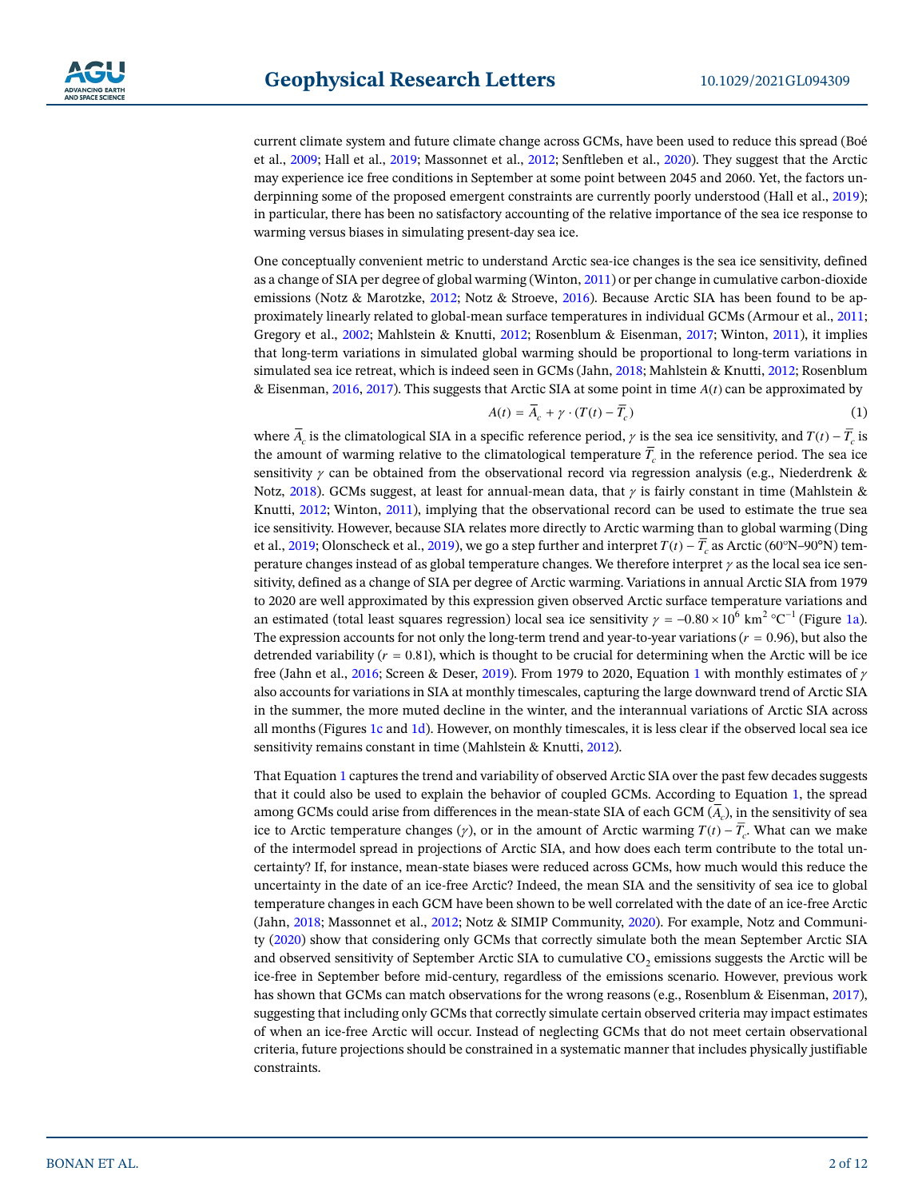current climate system and future climate change across GCMs, have been used to reduce this spread (Boé et al., [2009;](#page-10-2) Hall et al., [2019](#page-10-7); Massonnet et al., [2012](#page-11-13); Senftleben et al., [2020](#page-11-15)). They suggest that the Arctic may experience ice free conditions in September at some point between 2045 and 2060. Yet, the factors un-derpinning some of the proposed emergent constraints are currently poorly understood (Hall et al., [2019](#page-10-7)); in particular, there has been no satisfactory accounting of the relative importance of the sea ice response to warming versus biases in simulating present-day sea ice.

One conceptually convenient metric to understand Arctic sea-ice changes is the sea ice sensitivity, defined as a change of SIA per degree of global warming (Winton, [2011\)](#page-11-16) or per change in cumulative carbon-dioxide emissions (Notz & Marotzke, [2012;](#page-11-17) Notz & Stroeve, [2016\)](#page-11-18). Because Arctic SIA has been found to be approximately linearly related to global-mean surface temperatures in individual GCMs (Armour et al., [2011](#page-10-8); Gregory et al., [2002;](#page-10-9) Mahlstein & Knutti, [2012;](#page-11-19) Rosenblum & Eisenman, [2017](#page-11-20); Winton, [2011](#page-11-16)), it implies that long-term variations in simulated global warming should be proportional to long-term variations in simulated sea ice retreat, which is indeed seen in GCMs (Jahn, [2018;](#page-11-4) Mahlstein & Knutti, [2012;](#page-11-19) Rosenblum & Eisenman, [2016](#page-11-21), [2017\)](#page-11-20). This suggests that Arctic SIA at some point in time  $A(t)$  can be approximated by

$$
A(t) = \overline{A}_c + \gamma \cdot (T(t) - \overline{T}_c) \tag{1}
$$

<span id="page-1-0"></span>where  $\overline{A}_c$  is the climatological SIA in a specific reference period,  $\gamma$  is the sea ice sensitivity, and  $T(t) - \overline{T}_c$  is the amount of warming relative to the climatological temperature  $\overline{T}_c$  in the reference period. The sea ice sensitivity  $\gamma$  can be obtained from the observational record via regression analysis (e.g., Niederdrenk & Notz, [2018](#page-11-5)). GCMs suggest, at least for annual-mean data, that  $\gamma$  is fairly constant in time (Mahlstein & Knutti, [2012;](#page-11-19) Winton, [2011\)](#page-11-16), implying that the observational record can be used to estimate the true sea ice sensitivity. However, because SIA relates more directly to Arctic warming than to global warming (Ding et al., [2019](#page-10-10); Olonscheck et al., [2019](#page-11-22)), we go a step further and interpret  $T(t) - \overline{T}_c$  as Arctic (60°N–90°N) temperature changes instead of as global temperature changes. We therefore interpret  $\gamma$  as the local sea ice sensitivity, defined as a change of SIA per degree of Arctic warming. Variations in annual Arctic SIA from 1979 to 2020 are well approximated by this expression given observed Arctic surface temperature variations and an estimated (total least squares regression) local sea ice sensitivity  $\gamma = -0.80 \times 10^6$  km<sup>2</sup> °C<sup>-1</sup> (Figure [1a](#page-2-0)). The expression accounts for not only the long-term trend and year-to-year variations ( $r = 0.96$ ), but also the detrended variability  $(r = 0.81)$ , which is thought to be crucial for determining when the Arctic will be ice free (Jahn et al., [2016](#page-11-23); Screen & Deser, [2019\)](#page-11-24). From 1979 to 2020, Equation [1](#page-1-0) with monthly estimates of  $\gamma$ also accounts for variations in SIA at monthly timescales, capturing the large downward trend of Arctic SIA in the summer, the more muted decline in the winter, and the interannual variations of Arctic SIA across all months (Figures [1c](#page-2-0) and [1d\)](#page-2-0). However, on monthly timescales, it is less clear if the observed local sea ice sensitivity remains constant in time (Mahlstein & Knutti, [2012\)](#page-11-19).

That Equation [1](#page-1-0) captures the trend and variability of observed Arctic SIA over the past few decades suggests that it could also be used to explain the behavior of coupled GCMs. According to Equation [1,](#page-1-0) the spread among GCMs could arise from differences in the mean-state SIA of each GCM  $(\overline{A_c})$ , in the sensitivity of sea ice to Arctic temperature changes ( $\gamma$ ), or in the amount of Arctic warming  $T(t) - \overline{T}$ . What can we make of the intermodel spread in projections of Arctic SIA, and how does each term contribute to the total uncertainty? If, for instance, mean-state biases were reduced across GCMs, how much would this reduce the uncertainty in the date of an ice-free Arctic? Indeed, the mean SIA and the sensitivity of sea ice to global temperature changes in each GCM have been shown to be well correlated with the date of an ice-free Arctic (Jahn, [2018](#page-11-4); Massonnet et al., [2012](#page-11-13); Notz & SIMIP Community, [2020](#page-11-9)). For example, Notz and Community [\(2020](#page-11-9)) show that considering only GCMs that correctly simulate both the mean September Arctic SIA and observed sensitivity of September Arctic SIA to cumulative  $CO<sub>2</sub>$  emissions suggests the Arctic will be ice-free in September before mid-century, regardless of the emissions scenario. However, previous work has shown that GCMs can match observations for the wrong reasons (e.g., Rosenblum & Eisenman, [2017](#page-11-20)), suggesting that including only GCMs that correctly simulate certain observed criteria may impact estimates of when an ice-free Arctic will occur. Instead of neglecting GCMs that do not meet certain observational criteria, future projections should be constrained in a systematic manner that includes physically justifiable constraints.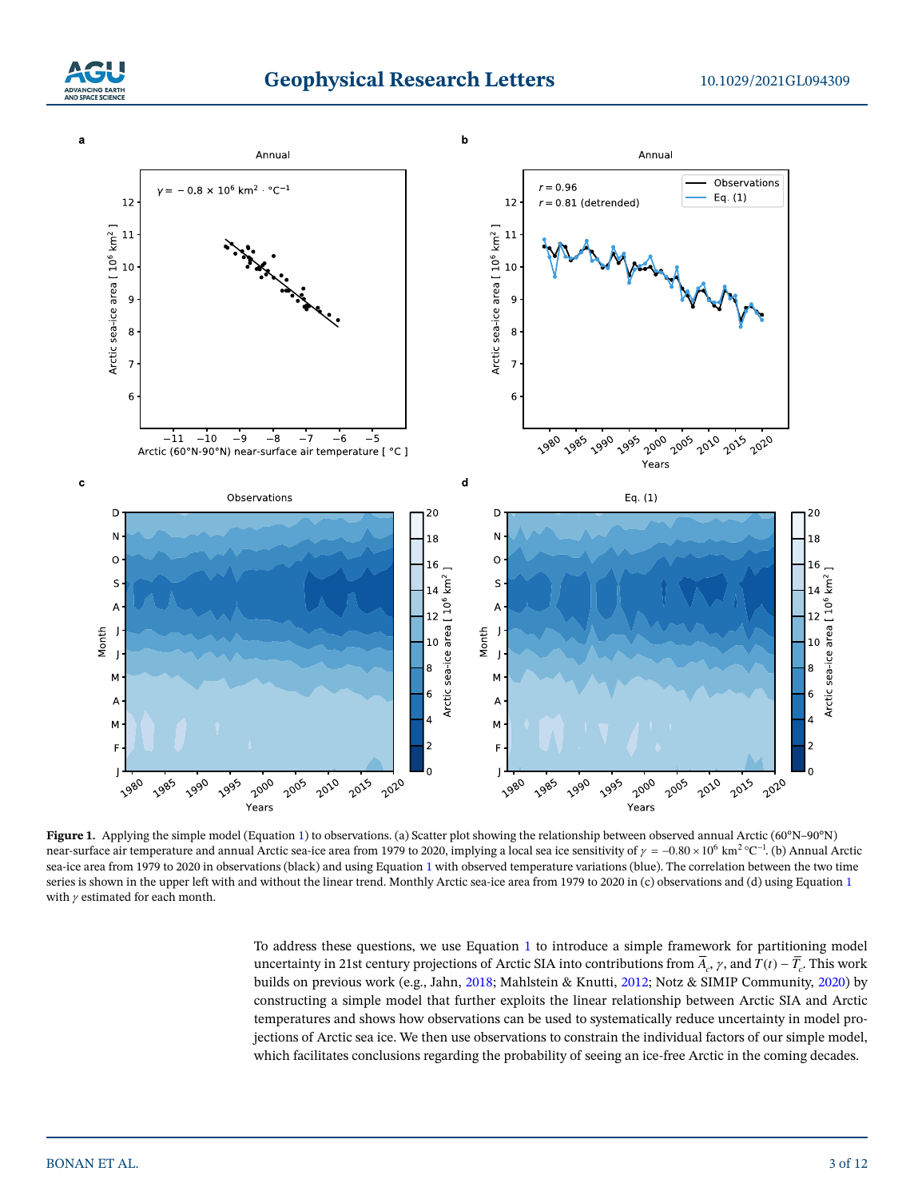



<span id="page-2-0"></span>**Figure [1](#page-1-0).** Applying the simple model (Equation 1) to observations. (a) Scatter plot showing the relationship between observed annual Arctic (60°N–90°N) near-surface air temperature and annual Arctic sea-ice area from 1979 to 2020, implying a local sea ice sensitivity of  $\gamma = -0.80 \times 10^6$  km<sup>2</sup> °C<sup>-1</sup>. (b) Annual Arctic sea-ice area from 1979 to 2020 in observations (black) and using Equation [1](#page-1-0) with observed temperature variations (blue). The correlation between the two time series is shown in the upper left with and without the linear trend. Monthly Arctic sea-ice area from [1](#page-1-0)979 to 2020 in (c) observations and (d) using Equation 1 with  $\gamma$  estimated for each month.

To address these questions, we use Equation [1](#page-1-0) to introduce a simple framework for partitioning model uncertainty in 21st century projections of Arctic SIA into contributions from  $\overline{A}_c$ ,  $\gamma$ , and  $T(t) - \overline{T}_c$ . This work builds on previous work (e.g., Jahn, [2018](#page-11-4); Mahlstein & Knutti, [2012](#page-11-19); Notz & SIMIP Community, [2020\)](#page-11-9) by constructing a simple model that further exploits the linear relationship between Arctic SIA and Arctic temperatures and shows how observations can be used to systematically reduce uncertainty in model projections of Arctic sea ice. We then use observations to constrain the individual factors of our simple model, which facilitates conclusions regarding the probability of seeing an ice-free Arctic in the coming decades.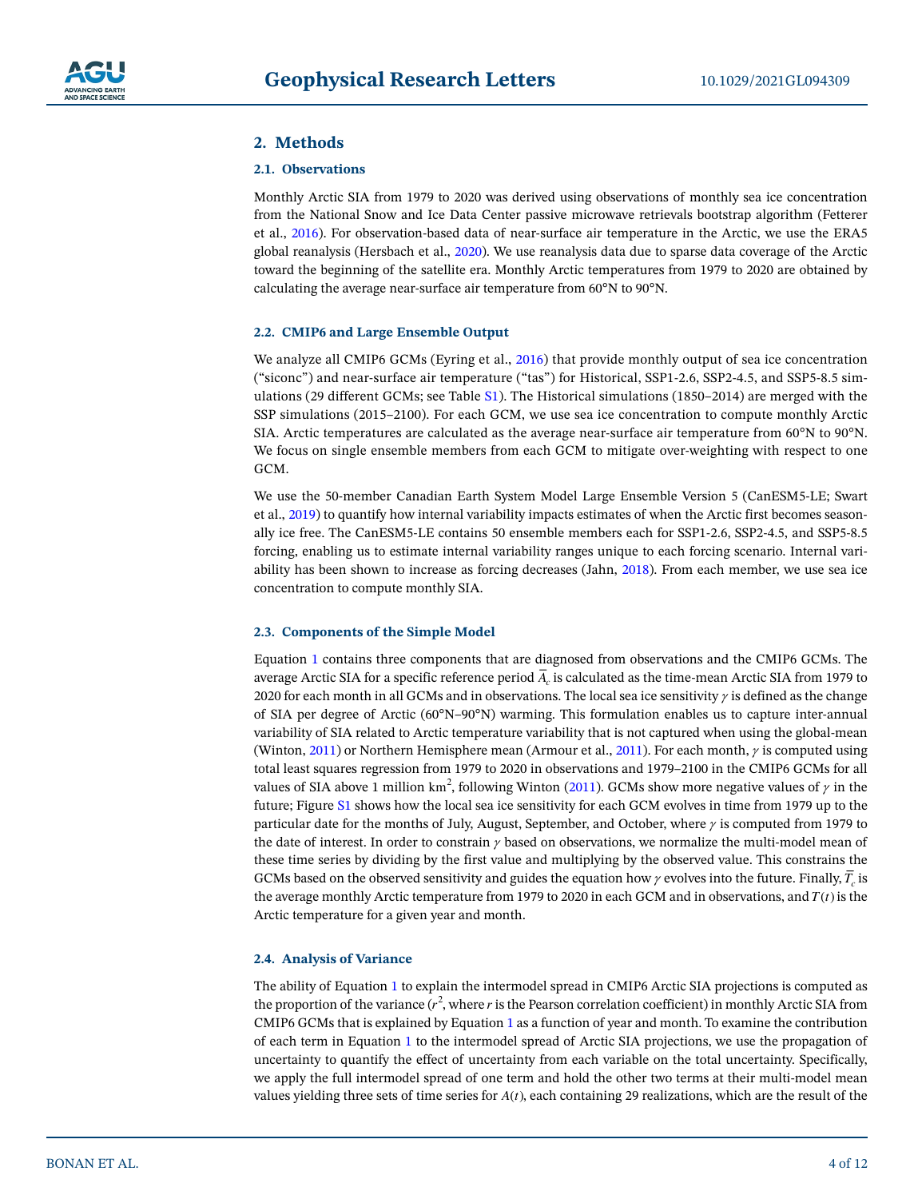# <span id="page-3-0"></span>**2. Methods**

# **2.1. Observations**

Monthly Arctic SIA from 1979 to 2020 was derived using observations of monthly sea ice concentration from the National Snow and Ice Data Center passive microwave retrievals bootstrap algorithm (Fetterer et al., [2016](#page-10-0)). For observation-based data of near-surface air temperature in the Arctic, we use the ERA5 global reanalysis (Hersbach et al., [2020\)](#page-10-11). We use reanalysis data due to sparse data coverage of the Arctic toward the beginning of the satellite era. Monthly Arctic temperatures from 1979 to 2020 are obtained by calculating the average near-surface air temperature from 60°N to 90°N.

# **2.2. CMIP6 and Large Ensemble Output**

We analyze all CMIP6 GCMs (Eyring et al., [2016](#page-10-12)) that provide monthly output of sea ice concentration ("siconc") and near-surface air temperature ("tas") for Historical, SSP1-2.6, SSP2-4.5, and SSP5-8.5 simulations (29 different GCMs; see Table S1). The Historical simulations (1850–2014) are merged with the SSP simulations (2015–2100). For each GCM, we use sea ice concentration to compute monthly Arctic SIA. Arctic temperatures are calculated as the average near-surface air temperature from 60°N to 90°N. We focus on single ensemble members from each GCM to mitigate over-weighting with respect to one GCM.

We use the 50-member Canadian Earth System Model Large Ensemble Version 5 (CanESM5-LE; Swart et al., [2019\)](#page-11-25) to quantify how internal variability impacts estimates of when the Arctic first becomes seasonally ice free. The CanESM5-LE contains 50 ensemble members each for SSP1-2.6, SSP2-4.5, and SSP5-8.5 forcing, enabling us to estimate internal variability ranges unique to each forcing scenario. Internal variability has been shown to increase as forcing decreases (Jahn, [2018\)](#page-11-4). From each member, we use sea ice concentration to compute monthly SIA.

# **2.3. Components of the Simple Model**

Equation [1](#page-1-0) contains three components that are diagnosed from observations and the CMIP6 GCMs. The average Arctic SIA for a specific reference period  $\overline{A}_c$  is calculated as the time-mean Arctic SIA from 1979 to 2020 for each month in all GCMs and in observations. The local sea ice sensitivity  $\gamma$  is defined as the change of SIA per degree of Arctic (60°N–90°N) warming. This formulation enables us to capture inter-annual variability of SIA related to Arctic temperature variability that is not captured when using the global-mean (Winton, [2011](#page-11-16)) or Northern Hemisphere mean (Armour et al., [2011\)](#page-10-8). For each month,  $\gamma$  is computed using total least squares regression from 1979 to 2020 in observations and 1979–2100 in the CMIP6 GCMs for all values of SIA above 1 million  $km^2$ , following Winton [\(2011\)](#page-11-16). GCMs show more negative values of  $\gamma$  in the future; Figure S1 shows how the local sea ice sensitivity for each GCM evolves in time from 1979 up to the particular date for the months of July, August, September, and October, where  $\gamma$  is computed from 1979 to the date of interest. In order to constrain  $\gamma$  based on observations, we normalize the multi-model mean of these time series by dividing by the first value and multiplying by the observed value. This constrains the GCMs based on the observed sensitivity and guides the equation how  $\gamma$  evolves into the future. Finally,  $\overline{T}_c$  is the average monthly Arctic temperature from 1979 to 2020 in each GCM and in observations, and  $T(t)$  is the Arctic temperature for a given year and month.

## **2.4. Analysis of Variance**

The ability of Equation [1](#page-1-0) to explain the intermodel spread in CMIP6 Arctic SIA projections is computed as the proportion of the variance  $(r^2)$ , where r is the Pearson correlation coefficient) in monthly Arctic SIA from CMIP6 GCMs that is explained by Equation [1](#page-1-0) as a function of year and month. To examine the contribution of each term in Equation [1](#page-1-0) to the intermodel spread of Arctic SIA projections, we use the propagation of uncertainty to quantify the effect of uncertainty from each variable on the total uncertainty. Specifically, we apply the full intermodel spread of one term and hold the other two terms at their multi-model mean values yielding three sets of time series for  $A(t)$ , each containing 29 realizations, which are the result of the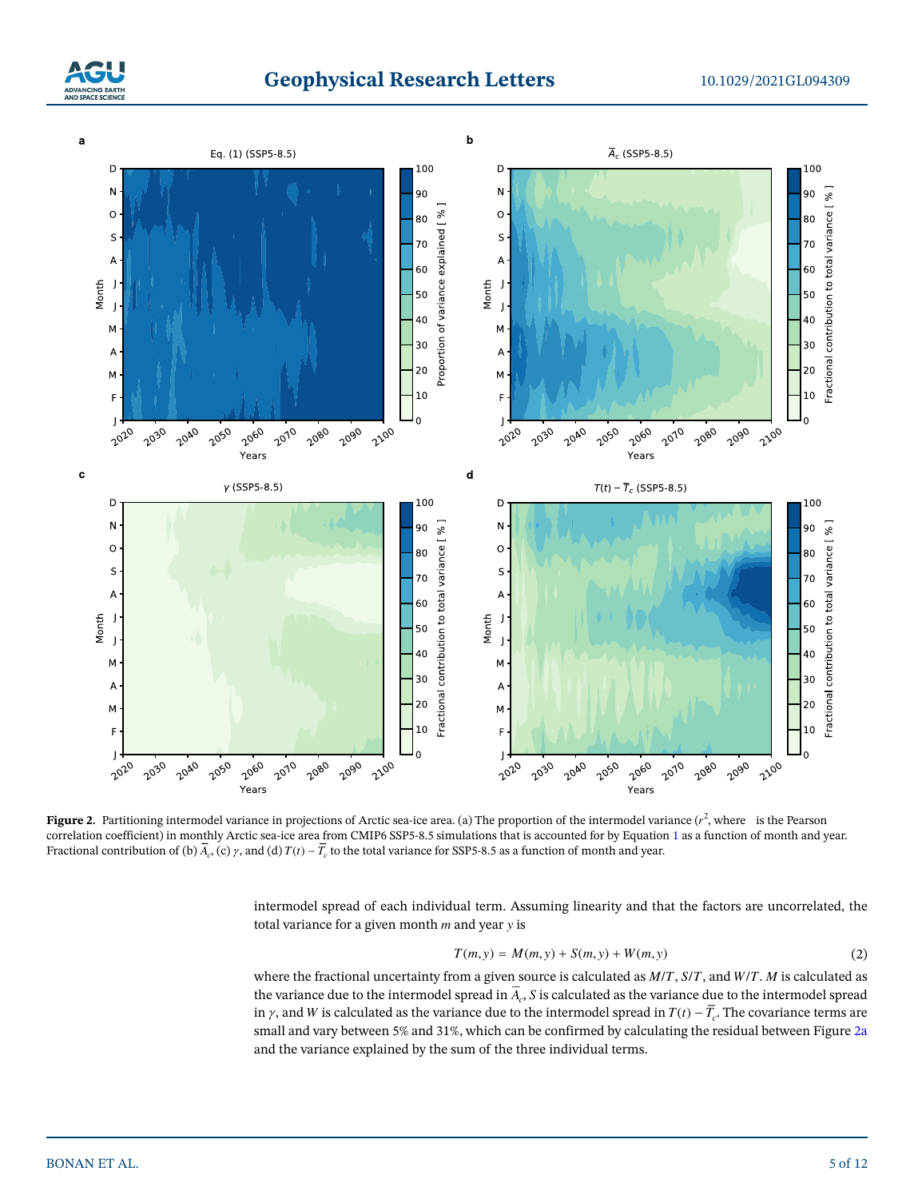



<span id="page-4-0"></span>**Figure 2.** Partitioning intermodel variance in projections of Arctic sea-ice area. (a) The proportion of the intermodel variance  $(r^2)$ , where is the Pearson correlation coefficient) in monthly Arctic sea-ice area from CMIP6 SSP5-8.5 simulations that is accounted for by Equation [1](#page-1-0) as a function of month and year. Fractional contribution of (b)  $\overline{A}_{c}$ , (c)  $\gamma$ , and (d)  $T(t) - \overline{T}_{c}$  to the total variance for SSP5-8.5 as a function of month and year.

intermodel spread of each individual term. Assuming linearity and that the factors are uncorrelated, the total variance for a given month  $m$  and year  $y$  is

$$
T(m, y) = M(m, y) + S(m, y) + W(m, y)
$$
\n(2)

where the fractional uncertainty from a given source is calculated as  $M/T$ ,  $S/T$ , and  $W/T$ . M is calculated as the variance due to the intermodel spread in  $\overline{A}_r$ , S is calculated as the variance due to the intermodel spread in  $\gamma$ , and W is calculated as the variance due to the intermodel spread in  $T(t) - \overline{T}_c$ . The covariance terms are small and vary between 5% and 31%, which can be confirmed by calculating the residual between Figure [2a](#page-4-0) and the variance explained by the sum of the three individual terms.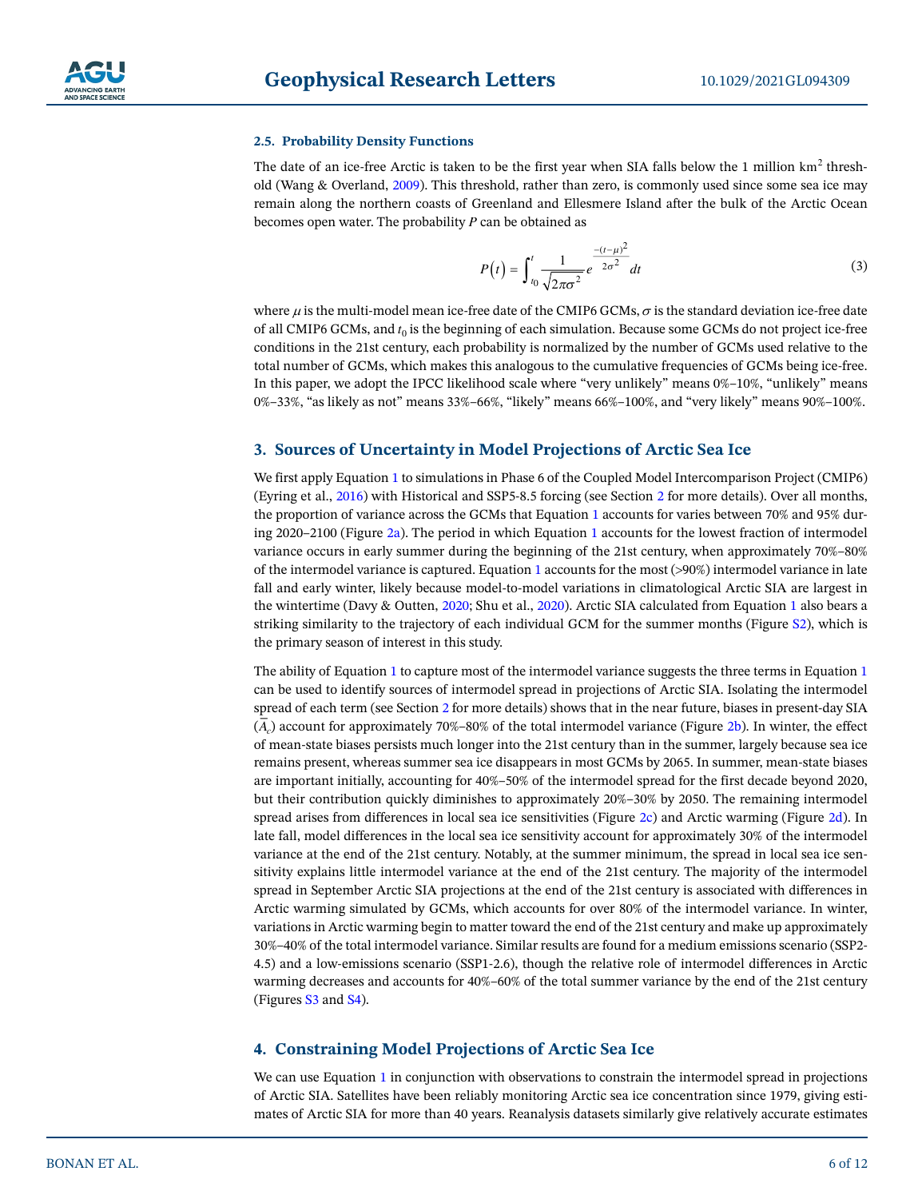## **2.5. Probability Density Functions**

The date of an ice-free Arctic is taken to be the first year when SIA falls below the 1 million  $km<sup>2</sup>$  threshold (Wang & Overland, [2009](#page-11-12)). This threshold, rather than zero, is commonly used since some sea ice may remain along the northern coasts of Greenland and Ellesmere Island after the bulk of the Arctic Ocean becomes open water. The probability  $P$  can be obtained as

$$
P(t) = \int_{t_0}^{t} \frac{1}{\sqrt{2\pi\sigma^2}} e^{-\frac{-(t-\mu)^2}{2\sigma^2}} dt
$$
 (3)

where  $\mu$  is the multi-model mean ice-free date of the CMIP6 GCMs,  $\sigma$  is the standard deviation ice-free date of all CMIP6 GCMs, and  $t_0$  is the beginning of each simulation. Because some GCMs do not project ice-free conditions in the 21st century, each probability is normalized by the number of GCMs used relative to the total number of GCMs, which makes this analogous to the cumulative frequencies of GCMs being ice-free. In this paper, we adopt the IPCC likelihood scale where "very unlikely" means 0%–10%, "unlikely" means 0%–33%, "as likely as not" means 33%–66%, "likely" means 66%–100%, and "very likely" means 90%–100%.

# **3. Sources of Uncertainty in Model Projections of Arctic Sea Ice**

We first apply Equation [1](#page-1-0) to simulations in Phase 6 of the Coupled Model Intercomparison Project (CMIP6) (Eyring et al., [2016\)](#page-10-12) with Historical and SSP5-8.5 forcing (see Section [2](#page-3-0) for more details). Over all months, the proportion of variance across the GCMs that Equation [1](#page-1-0) accounts for varies between 70% and 95% during 2020–2100 (Figure [2a](#page-4-0)). The period in which Equation [1](#page-1-0) accounts for the lowest fraction of intermodel variance occurs in early summer during the beginning of the 21st century, when approximately 70%–80% of the intermodel variance is captured. Equation [1](#page-1-0) accounts for the most  $($ >90%) intermodel variance in late fall and early winter, likely because model-to-model variations in climatological Arctic SIA are largest in the wintertime (Davy & Outten, [2020](#page-10-13); Shu et al., [2020](#page-11-26)). Arctic SIA calculated from Equation [1](#page-1-0) also bears a striking similarity to the trajectory of each individual GCM for the summer months (Figure S2), which is the primary season of interest in this study.

The ability of Equation [1](#page-1-0) to capture most of the intermodel variance suggests the three terms in Equation [1](#page-1-0) can be used to identify sources of intermodel spread in projections of Arctic SIA. Isolating the intermodel spread of each term (see Section [2](#page-3-0) for more details) shows that in the near future, biases in present-day SIA  $(A<sub>c</sub>)$  account for approximately 70%–80% of the total intermodel variance (Figure [2b](#page-4-0)). In winter, the effect of mean-state biases persists much longer into the 21st century than in the summer, largely because sea ice remains present, whereas summer sea ice disappears in most GCMs by 2065. In summer, mean-state biases are important initially, accounting for 40%–50% of the intermodel spread for the first decade beyond 2020, but their contribution quickly diminishes to approximately 20%–30% by 2050. The remaining intermodel spread arises from differences in local sea ice sensitivities (Figure [2c](#page-4-0)) and Arctic warming (Figure [2d](#page-4-0)). In late fall, model differences in the local sea ice sensitivity account for approximately 30% of the intermodel variance at the end of the 21st century. Notably, at the summer minimum, the spread in local sea ice sensitivity explains little intermodel variance at the end of the 21st century. The majority of the intermodel spread in September Arctic SIA projections at the end of the 21st century is associated with differences in Arctic warming simulated by GCMs, which accounts for over 80% of the intermodel variance. In winter, variations in Arctic warming begin to matter toward the end of the 21st century and make up approximately 30%–40% of the total intermodel variance. Similar results are found for a medium emissions scenario (SSP2- 4.5) and a low-emissions scenario (SSP1-2.6), though the relative role of intermodel differences in Arctic warming decreases and accounts for 40%–60% of the total summer variance by the end of the 21st century (Figures S3 and S4).

# **4. Constraining Model Projections of Arctic Sea Ice**

We can use Equation [1](#page-1-0) in conjunction with observations to constrain the intermodel spread in projections of Arctic SIA. Satellites have been reliably monitoring Arctic sea ice concentration since 1979, giving estimates of Arctic SIA for more than 40 years. Reanalysis datasets similarly give relatively accurate estimates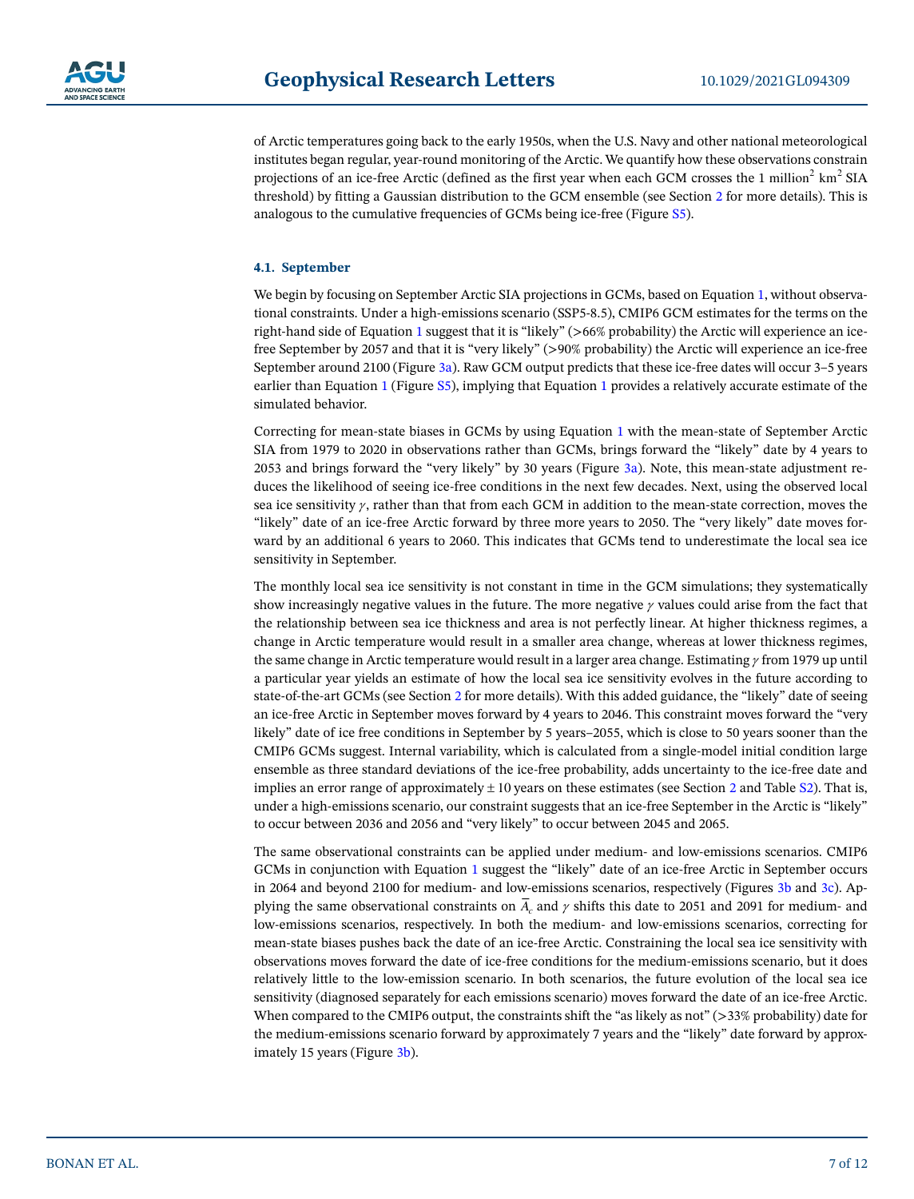of Arctic temperatures going back to the early 1950s, when the U.S. Navy and other national meteorological institutes began regular, year-round monitoring of the Arctic. We quantify how these observations constrain projections of an ice-free Arctic (defined as the first year when each GCM crosses the 1 million<sup>2</sup>  $\text{km}^2$  SIA threshold) by fitting a Gaussian distribution to the GCM ensemble (see Section [2](#page-3-0) for more details). This is analogous to the cumulative frequencies of GCMs being ice-free (Figure S5).

# **4.1. September**

We begin by focusing on September Arctic SIA projections in GCMs, based on Equation [1,](#page-1-0) without observational constraints. Under a high-emissions scenario (SSP5-8.5), CMIP6 GCM estimates for the terms on the right-hand side of Equation [1](#page-1-0) suggest that it is "likely" (>66% probability) the Arctic will experience an icefree September by 2057 and that it is "very likely" (>90% probability) the Arctic will experience an ice-free September around 2100 (Figure [3a](#page-8-0)). Raw GCM output predicts that these ice-free dates will occur 3–5 years earlier than Equation [1](#page-1-0) (Figure S5), implying that Equation [1](#page-1-0) provides a relatively accurate estimate of the simulated behavior.

Correcting for mean-state biases in GCMs by using Equation [1](#page-1-0) with the mean-state of September Arctic SIA from 1979 to 2020 in observations rather than GCMs, brings forward the "likely" date by 4 years to 2053 and brings forward the "very likely" by 30 years (Figure [3a](#page-8-0)). Note, this mean-state adjustment reduces the likelihood of seeing ice-free conditions in the next few decades. Next, using the observed local sea ice sensitivity  $\gamma$ , rather than that from each GCM in addition to the mean-state correction, moves the "likely" date of an ice-free Arctic forward by three more years to 2050. The "very likely" date moves forward by an additional 6 years to 2060. This indicates that GCMs tend to underestimate the local sea ice sensitivity in September.

The monthly local sea ice sensitivity is not constant in time in the GCM simulations; they systematically show increasingly negative values in the future. The more negative  $\gamma$  values could arise from the fact that the relationship between sea ice thickness and area is not perfectly linear. At higher thickness regimes, a change in Arctic temperature would result in a smaller area change, whereas at lower thickness regimes, the same change in Arctic temperature would result in a larger area change. Estimating  $\gamma$  from 1979 up until a particular year yields an estimate of how the local sea ice sensitivity evolves in the future according to state-of-the-art GCMs (see Section [2](#page-3-0) for more details). With this added guidance, the "likely" date of seeing an ice-free Arctic in September moves forward by 4 years to 2046. This constraint moves forward the "very likely" date of ice free conditions in September by 5 years–2055, which is close to 50 years sooner than the CMIP6 GCMs suggest. Internal variability, which is calculated from a single-model initial condition large ensemble as three standard deviations of the ice-free probability, adds uncertainty to the ice-free date and implies an error range of approximately  $\pm 10$  years on these estimates (see Section [2](#page-3-0) and Table S2). That is, under a high-emissions scenario, our constraint suggests that an ice-free September in the Arctic is "likely" to occur between 2036 and 2056 and "very likely" to occur between 2045 and 2065.

The same observational constraints can be applied under medium- and low-emissions scenarios. CMIP6 GCMs in conjunction with Equation [1](#page-1-0) suggest the "likely" date of an ice-free Arctic in September occurs in 2064 and beyond 2100 for medium- and low-emissions scenarios, respectively (Figures [3b](#page-8-0) and [3c](#page-8-0)). Applying the same observational constraints on  $A_c$  and  $\gamma$  shifts this date to 2051 and 2091 for medium- and low-emissions scenarios, respectively. In both the medium- and low-emissions scenarios, correcting for mean-state biases pushes back the date of an ice-free Arctic. Constraining the local sea ice sensitivity with observations moves forward the date of ice-free conditions for the medium-emissions scenario, but it does relatively little to the low-emission scenario. In both scenarios, the future evolution of the local sea ice sensitivity (diagnosed separately for each emissions scenario) moves forward the date of an ice-free Arctic. When compared to the CMIP6 output, the constraints shift the "as likely as not" (>33% probability) date for the medium-emissions scenario forward by approximately 7 years and the "likely" date forward by approximately 15 years (Figure [3b\)](#page-8-0).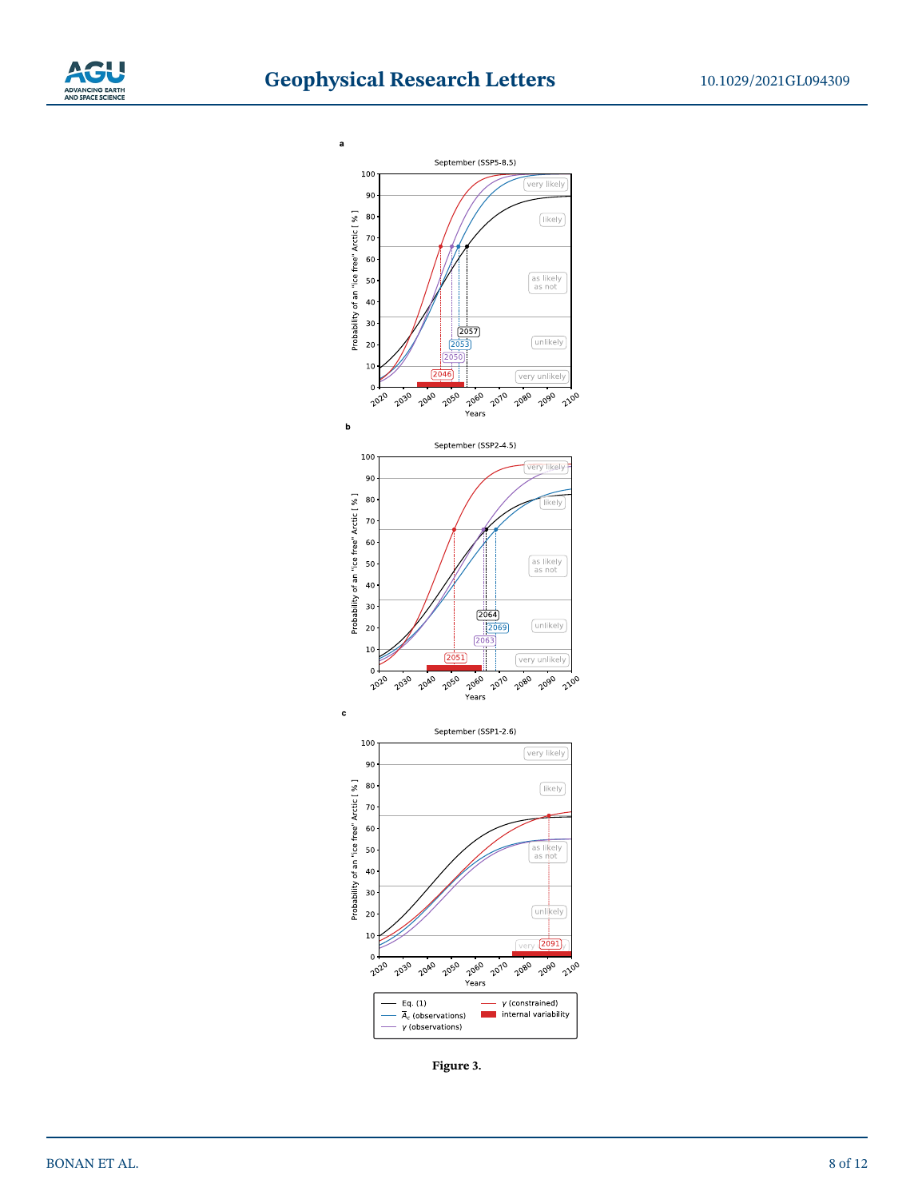



**Figure 3.**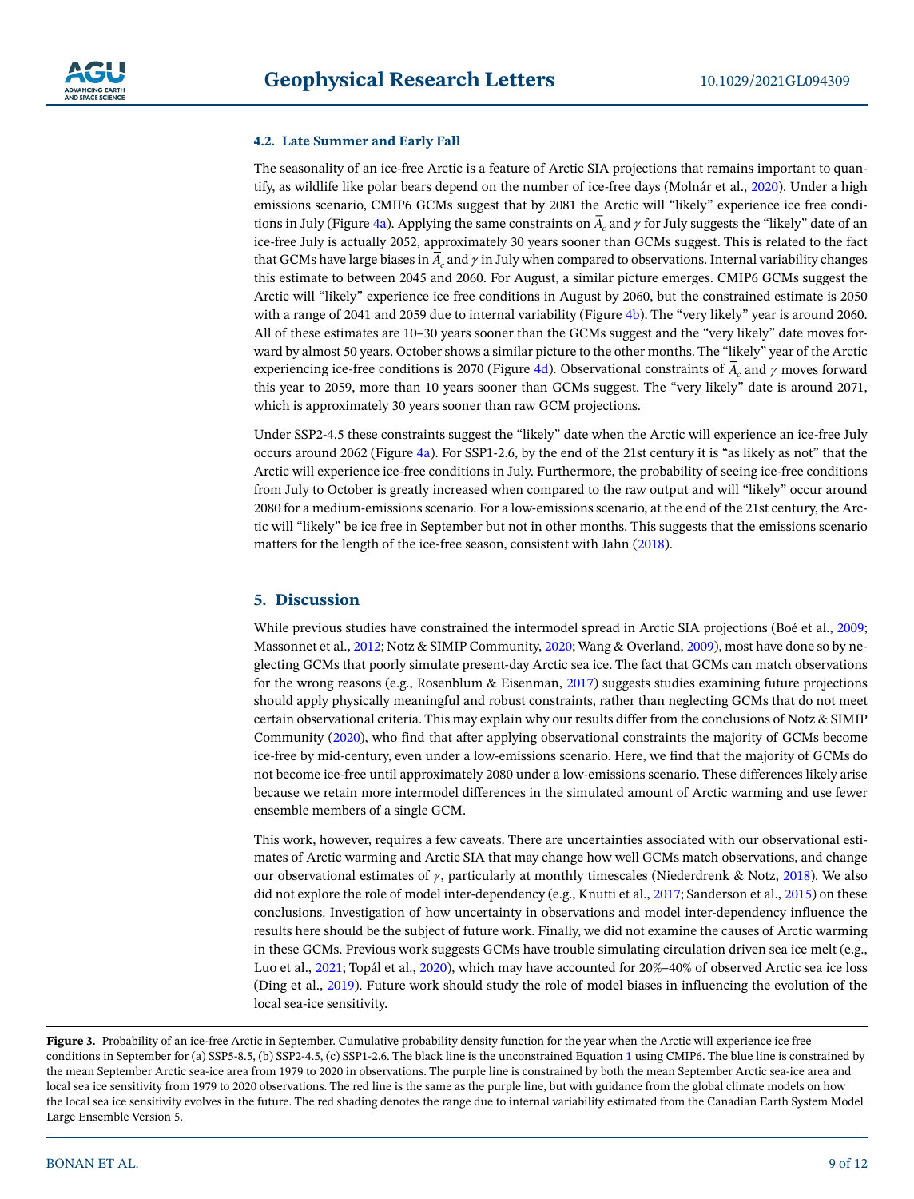## **4.2. Late Summer and Early Fall**

The seasonality of an ice-free Arctic is a feature of Arctic SIA projections that remains important to quantify, as wildlife like polar bears depend on the number of ice-free days (Molnár et al., [2020\)](#page-11-27). Under a high emissions scenario, CMIP6 GCMs suggest that by 2081 the Arctic will "likely" experience ice free condi-tions in July (Figure [4a](#page-9-0)). Applying the same constraints on  $\overline{A}_c$  and  $\gamma$  for July suggests the "likely" date of an ice-free July is actually 2052, approximately 30 years sooner than GCMs suggest. This is related to the fact that GCMs have large biases in  $A_c$  and  $\gamma$  in July when compared to observations. Internal variability changes this estimate to between 2045 and 2060. For August, a similar picture emerges. CMIP6 GCMs suggest the Arctic will "likely" experience ice free conditions in August by 2060, but the constrained estimate is 2050 with a range of 2041 and 2059 due to internal variability (Figure [4b\)](#page-9-0). The "very likely" year is around 2060. All of these estimates are 10–30 years sooner than the GCMs suggest and the "very likely" date moves forward by almost 50 years. October shows a similar picture to the other months. The "likely" year of the Arctic experiencing ice-free conditions is 2070 (Figure [4d\)](#page-9-0). Observational constraints of  $A_c$  and  $\gamma$  moves forward this year to 2059, more than 10 years sooner than GCMs suggest. The "very likely" date is around 2071, which is approximately 30 years sooner than raw GCM projections.

Under SSP2-4.5 these constraints suggest the "likely" date when the Arctic will experience an ice-free July occurs around 2062 (Figure [4a](#page-9-0)). For SSP1-2.6, by the end of the 21st century it is "as likely as not" that the Arctic will experience ice-free conditions in July. Furthermore, the probability of seeing ice-free conditions from July to October is greatly increased when compared to the raw output and will "likely" occur around 2080 for a medium-emissions scenario. For a low-emissions scenario, at the end of the 21st century, the Arctic will "likely" be ice free in September but not in other months. This suggests that the emissions scenario matters for the length of the ice-free season, consistent with Jahn [\(2018](#page-11-4)).

# **5. Discussion**

While previous studies have constrained the intermodel spread in Arctic SIA projections (Boé et al., [2009](#page-10-2); Massonnet et al., [2012](#page-11-13); Notz & SIMIP Community, [2020](#page-11-9); Wang & Overland, [2009](#page-11-12)), most have done so by neglecting GCMs that poorly simulate present-day Arctic sea ice. The fact that GCMs can match observations for the wrong reasons (e.g., Rosenblum & Eisenman, [2017](#page-11-20)) suggests studies examining future projections should apply physically meaningful and robust constraints, rather than neglecting GCMs that do not meet certain observational criteria. This may explain why our results differ from the conclusions of Notz & SIMIP Community ([2020\)](#page-11-9), who find that after applying observational constraints the majority of GCMs become ice-free by mid-century, even under a low-emissions scenario. Here, we find that the majority of GCMs do not become ice-free until approximately 2080 under a low-emissions scenario. These differences likely arise because we retain more intermodel differences in the simulated amount of Arctic warming and use fewer ensemble members of a single GCM.

This work, however, requires a few caveats. There are uncertainties associated with our observational estimates of Arctic warming and Arctic SIA that may change how well GCMs match observations, and change our observational estimates of  $\gamma$ , particularly at monthly timescales (Niederdrenk & Notz, [2018\)](#page-11-5). We also did not explore the role of model inter-dependency (e.g., Knutti et al., [2017;](#page-11-28) Sanderson et al., [2015\)](#page-11-29) on these conclusions. Investigation of how uncertainty in observations and model inter-dependency influence the results here should be the subject of future work. Finally, we did not examine the causes of Arctic warming in these GCMs. Previous work suggests GCMs have trouble simulating circulation driven sea ice melt (e.g., Luo et al., [2021](#page-11-30); Topál et al., [2020\)](#page-11-31), which may have accounted for 20%–40% of observed Arctic sea ice loss (Ding et al., [2019\)](#page-10-10). Future work should study the role of model biases in influencing the evolution of the local sea-ice sensitivity.

<span id="page-8-0"></span>Figure 3. Probability of an ice-free Arctic in September. Cumulative probability density function for the year when the Arctic will experience ice free conditions in September for (a) SSP5-8.5, (b) SSP2-4.5, (c) SSP1-2.6. The black line is the unconstrained Equation [1](#page-1-0) using CMIP6. The blue line is constrained by the mean September Arctic sea-ice area from 1979 to 2020 in observations. The purple line is constrained by both the mean September Arctic sea-ice area and local sea ice sensitivity from 1979 to 2020 observations. The red line is the same as the purple line, but with guidance from the global climate models on how the local sea ice sensitivity evolves in the future. The red shading denotes the range due to internal variability estimated from the Canadian Earth System Model Large Ensemble Version 5.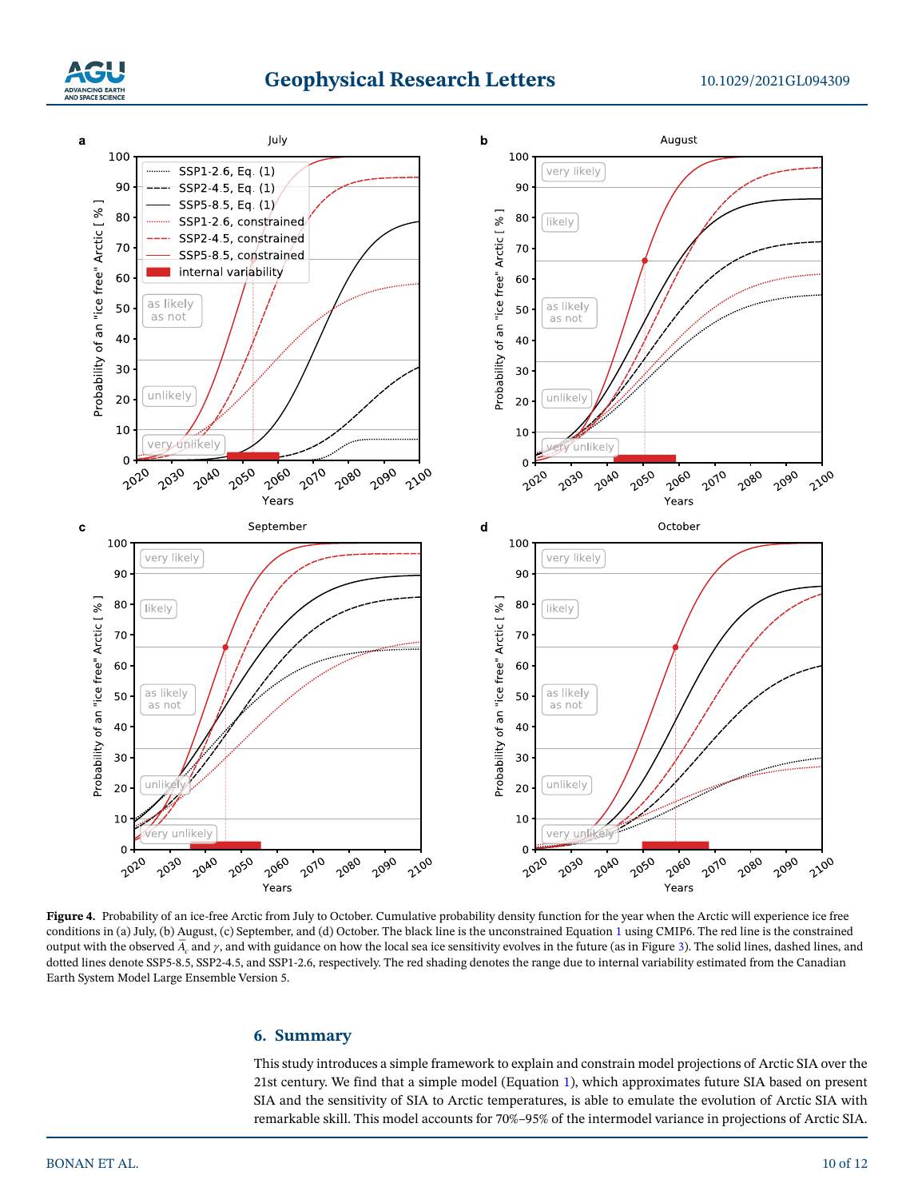

# **Geophysical Research Letters**



<span id="page-9-0"></span>Figure 4. Probability of an ice-free Arctic from July to October. Cumulative probability density function for the year when the Arctic will experience ice free conditions in (a) July, (b) August, (c) September, and (d) October. The black line is the unconstrained Equation [1](#page-1-0) using CMIP6. The red line is the constrained output with the observed  $\overline{A}_c$  and  $\gamma$ , and with guidance on how the local sea ice sensitivity evolves in the future (as in Figure [3\)](#page-8-0). The solid lines, dashed lines, and dotted lines denote SSP5-8.5, SSP2-4.5, and SSP1-2.6, respectively. The red shading denotes the range due to internal variability estimated from the Canadian Earth System Model Large Ensemble Version 5.

# **6. Summary**

This study introduces a simple framework to explain and constrain model projections of Arctic SIA over the 21st century. We find that a simple model (Equation [1](#page-1-0)), which approximates future SIA based on present SIA and the sensitivity of SIA to Arctic temperatures, is able to emulate the evolution of Arctic SIA with remarkable skill. This model accounts for 70%–95% of the intermodel variance in projections of Arctic SIA.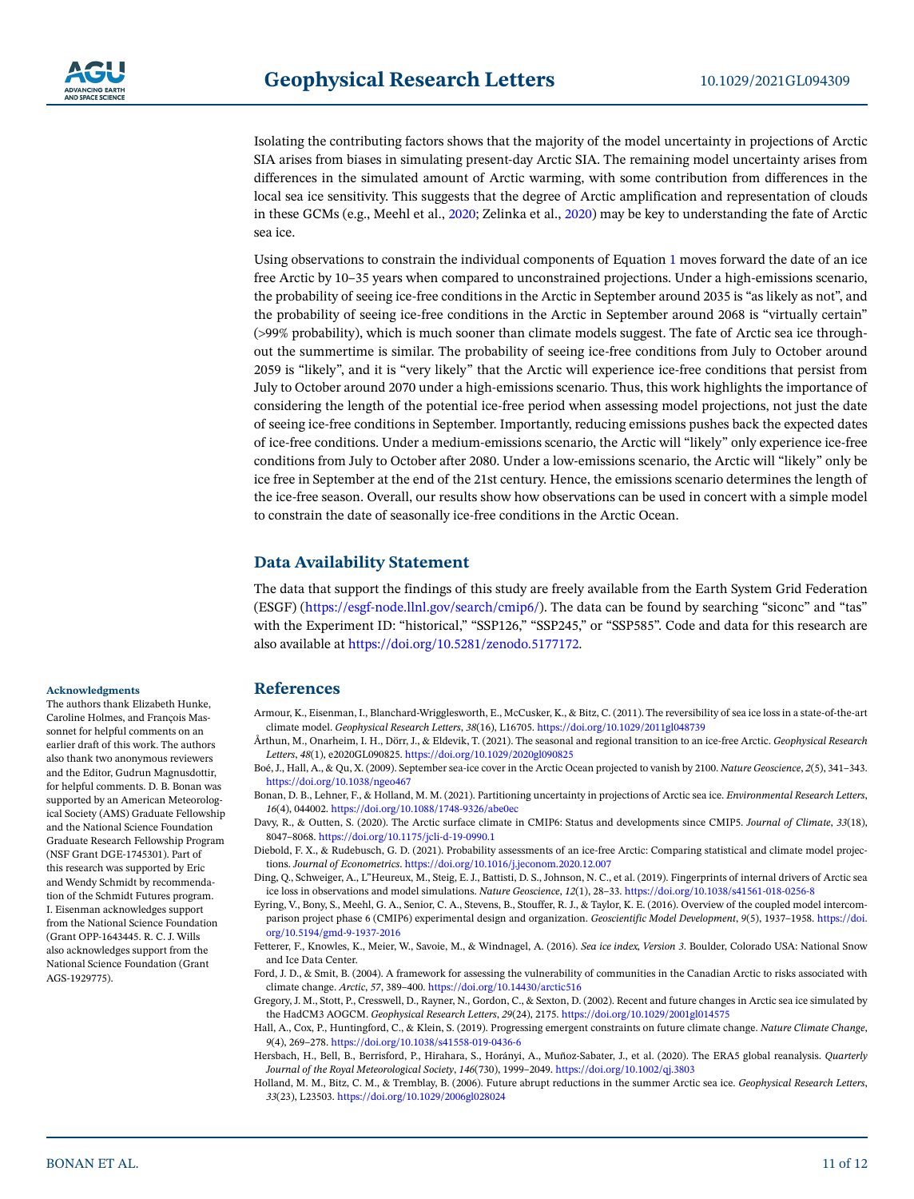Isolating the contributing factors shows that the majority of the model uncertainty in projections of Arctic SIA arises from biases in simulating present-day Arctic SIA. The remaining model uncertainty arises from differences in the simulated amount of Arctic warming, with some contribution from differences in the local sea ice sensitivity. This suggests that the degree of Arctic amplification and representation of clouds in these GCMs (e.g., Meehl et al., [2020;](#page-11-32) Zelinka et al., [2020](#page-11-33)) may be key to understanding the fate of Arctic sea ice.

Using observations to constrain the individual components of Equation [1](#page-1-0) moves forward the date of an ice free Arctic by 10–35 years when compared to unconstrained projections. Under a high-emissions scenario, the probability of seeing ice-free conditions in the Arctic in September around 2035 is "as likely as not", and the probability of seeing ice-free conditions in the Arctic in September around 2068 is "virtually certain" E (99% probability), which is much sooner than climate models suggest. The fate of Arctic sea ice throughout the summertime is similar. The probability of seeing ice-free conditions from July to October around 2059 is "likely", and it is "very likely" that the Arctic will experience ice-free conditions that persist from July to October around 2070 under a high-emissions scenario. Thus, this work highlights the importance of considering the length of the potential ice-free period when assessing model projections, not just the date of seeing ice-free conditions in September. Importantly, reducing emissions pushes back the expected dates of ice-free conditions. Under a medium-emissions scenario, the Arctic will "likely" only experience ice-free conditions from July to October after 2080. Under a low-emissions scenario, the Arctic will "likely" only be ice free in September at the end of the 21st century. Hence, the emissions scenario determines the length of the ice-free season. Overall, our results show how observations can be used in concert with a simple model to constrain the date of seasonally ice-free conditions in the Arctic Ocean.

# **Data Availability Statement**

The data that support the findings of this study are freely available from the Earth System Grid Federation (ESGF) ([https://esgf-node.llnl.gov/search/cmip6/\)](https://esgf-node.llnl.gov/search/cmip6/). The data can be found by searching "siconc" and "tas" with the Experiment ID: "historical," "SSP126," "SSP245," or "SSP585". Code and data for this research are also available at [https://doi.org/10.5281/zenodo.5177172.](https://doi.org/10.5281/zenodo.5177172)

# **References**

<span id="page-10-8"></span>Armour, K., Eisenman, I., Blanchard-Wrigglesworth, E., McCusker, K., & Bitz, C. (2011). The reversibility of sea ice loss in a state-of-the-art climate model. *Geophysical Research Letters*, *38*(16), L16705.<https://doi.org/10.1029/2011gl048739>

<span id="page-10-5"></span>Årthun, M., Onarheim, I. H., Dörr, J., & Eldevik, T. (2021). The seasonal and regional transition to an ice-free Arctic. *Geophysical Research Letters*, *48*(1), e2020GL090825.<https://doi.org/10.1029/2020gl090825>

<span id="page-10-2"></span>Boé, J., Hall, A., & Qu, X. (2009). September sea-ice cover in the Arctic Ocean projected to vanish by 2100. *Nature Geoscience*, *2*(5), 341–343. <https://doi.org/10.1038/ngeo467>

<span id="page-10-6"></span>Bonan, D. B., Lehner, F., & Holland, M. M. (2021). Partitioning uncertainty in projections of Arctic sea ice. *Environmental Research Letters*, *16*(4), 044002. <https://doi.org/10.1088/1748-9326/abe0ec>

<span id="page-10-13"></span>Davy, R., & Outten, S. (2020). The Arctic surface climate in CMIP6: Status and developments since CMIP5. *Journal of Climate*, *33*(18), 8047–8068. [https://doi.org/10.1175/jcli-d-19-0990.1](https://doi.org/10.1175/jcli%2Dd%2D19-0990.1)

<span id="page-10-3"></span>Diebold, F. X., & Rudebusch, G. D. (2021). Probability assessments of an ice-free Arctic: Comparing statistical and climate model projections. *Journal of Econometrics*.<https://doi.org/10.1016/j.jeconom.2020.12.007>

<span id="page-10-10"></span>Ding, Q., Schweiger, A., L"Heureux, M., Steig, E. J., Battisti, D. S., Johnson, N. C., et al. (2019). Fingerprints of internal drivers of Arctic sea ice loss in observations and model simulations. *Nature Geoscience*, *12*(1), 28–33. <https://doi.org/10.1038/s41561-018-0256-8>

<span id="page-10-12"></span>Eyring, V., Bony, S., Meehl, G. A., Senior, C. A., Stevens, B., Stouffer, R. J., & Taylor, K. E. (2016). Overview of the coupled model intercomparison project phase 6 (CMIP6) experimental design and organization. *Geoscientific Model Development*, *9*(5), 1937–1958. [https://doi.](https://doi.org/10.5194/gmd%2D9-1937-2016) [org/10.5194/gmd-9-1937-2016](https://doi.org/10.5194/gmd%2D9-1937-2016)

<span id="page-10-0"></span>Fetterer, F., Knowles, K., Meier, W., Savoie, M., & Windnagel, A. (2016). *Sea ice index, Version 3*. Boulder, Colorado USA: National Snow and Ice Data Center.

<span id="page-10-1"></span>Ford, J. D., & Smit, B. (2004). A framework for assessing the vulnerability of communities in the Canadian Arctic to risks associated with climate change. *Arctic*, *57*, 389–400. <https://doi.org/10.14430/arctic516>

<span id="page-10-9"></span>Gregory, J. M., Stott, P., Cresswell, D., Rayner, N., Gordon, C., & Sexton, D. (2002). Recent and future changes in Arctic sea ice simulated by the HadCM3 AOGCM. *Geophysical Research Letters*, *29*(24), 2175.<https://doi.org/10.1029/2001gl014575>

<span id="page-10-7"></span>Hall, A., Cox, P., Huntingford, C., & Klein, S. (2019). Progressing emergent constraints on future climate change. *Nature Climate Change*, *9*(4), 269–278. <https://doi.org/10.1038/s41558-019-0436-6>

<span id="page-10-11"></span>Hersbach, H., Bell, B., Berrisford, P., Hirahara, S., Horányi, A., Muñoz-Sabater, J., et al. (2020). The ERA5 global reanalysis. *Quarterly Journal of the Royal Meteorological Society*, *146*(730), 1999–2049.<https://doi.org/10.1002/qj.3803>

<span id="page-10-4"></span>Holland, M. M., Bitz, C. M., & Tremblay, B. (2006). Future abrupt reductions in the summer Arctic sea ice. *Geophysical Research Letters*, *33*(23), L23503. <https://doi.org/10.1029/2006gl028024>

#### **Acknowledgments**

The authors thank Elizabeth Hunke, Caroline Holmes, and François Massonnet for helpful comments on an earlier draft of this work. The authors also thank two anonymous reviewers and the Editor, Gudrun Magnusdottir, for helpful comments. D. B. Bonan was supported by an American Meteorological Society (AMS) Graduate Fellowship and the National Science Foundation Graduate Research Fellowship Program (NSF Grant DGE-1745301). Part of this research was supported by Eric and Wendy Schmidt by recommendation of the Schmidt Futures program. I. Eisenman acknowledges support from the National Science Foundation (Grant OPP-1643445. R. C. J. Wills also acknowledges support from the National Science Foundation (Grant AGS-1929775).